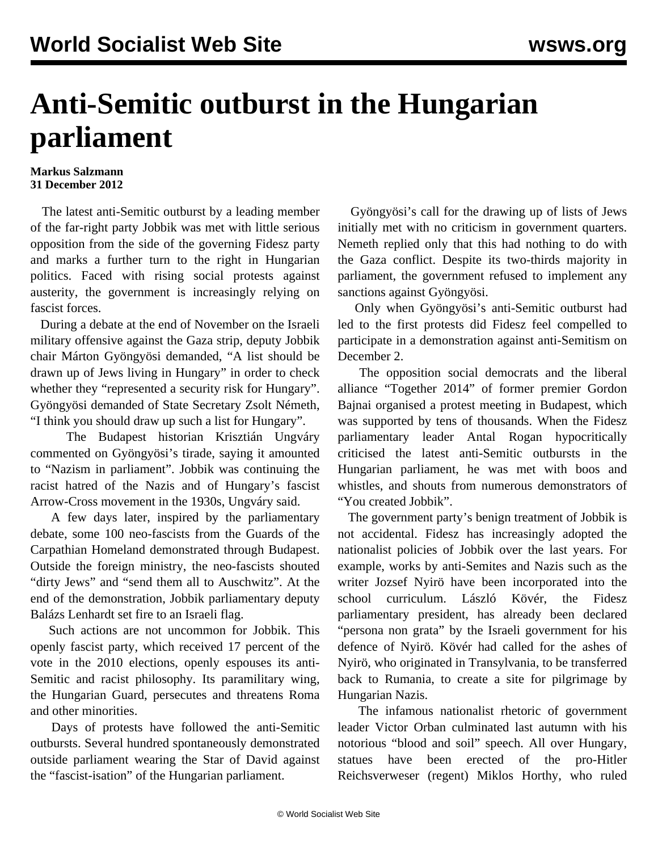## **Anti-Semitic outburst in the Hungarian parliament**

## **Markus Salzmann 31 December 2012**

 The latest anti-Semitic outburst by a leading member of the far-right party Jobbik was met with little serious opposition from the side of the governing Fidesz party and marks a further turn to the right in Hungarian politics. Faced with rising social protests against austerity, the government is increasingly relying on fascist forces.

 During a debate at the end of November on the Israeli military offensive against the Gaza strip, deputy Jobbik chair Márton Gyöngyösi demanded, "A list should be drawn up of Jews living in Hungary" in order to check whether they "represented a security risk for Hungary". Gyöngyösi demanded of State Secretary Zsolt Németh, "I think you should draw up such a list for Hungary".

 The Budapest historian Krisztián Ungváry commented on Gyöngyösi's tirade, saying it amounted to "Nazism in parliament". Jobbik was continuing the racist hatred of the Nazis and of Hungary's fascist Arrow-Cross movement in the 1930s, Ungváry said.

 A few days later, inspired by the parliamentary debate, some 100 neo-fascists from the Guards of the Carpathian Homeland demonstrated through Budapest. Outside the foreign ministry, the neo-fascists shouted "dirty Jews" and "send them all to Auschwitz". At the end of the demonstration, Jobbik parliamentary deputy Balázs Lenhardt set fire to an Israeli flag.

 Such actions are not uncommon for Jobbik. This openly fascist party, which received 17 percent of the vote in the 2010 elections, openly espouses its anti-Semitic and racist philosophy. Its paramilitary wing, the Hungarian Guard, persecutes and threatens Roma and other minorities.

 Days of protests have followed the anti-Semitic outbursts. Several hundred spontaneously demonstrated outside parliament wearing the Star of David against the "fascist-isation" of the Hungarian parliament.

 Gyöngyösi's call for the drawing up of lists of Jews initially met with no criticism in government quarters. Nemeth replied only that this had nothing to do with the Gaza conflict. Despite its two-thirds majority in parliament, the government refused to implement any sanctions against Gyöngyösi.

 Only when Gyöngyösi's anti-Semitic outburst had led to the first protests did Fidesz feel compelled to participate in a demonstration against anti-Semitism on December 2.

 The opposition social democrats and the liberal alliance "Together 2014" of former premier Gordon Bajnai organised a protest meeting in Budapest, which was supported by tens of thousands. When the Fidesz parliamentary leader Antal Rogan hypocritically criticised the latest anti-Semitic outbursts in the Hungarian parliament, he was met with boos and whistles, and shouts from numerous demonstrators of "You created Jobbik".

 The government party's benign treatment of Jobbik is not accidental. Fidesz has increasingly adopted the nationalist policies of Jobbik over the last years. For example, works by anti-Semites and Nazis such as the writer Jozsef Nyirö have been incorporated into the school curriculum. László Kövér, the Fidesz parliamentary president, has already been declared "persona non grata" by the Israeli government for his defence of Nyirö. Kövér had called for the ashes of Nyirö, who originated in Transylvania, to be transferred back to Rumania, to create a site for pilgrimage by Hungarian Nazis.

 The infamous nationalist rhetoric of government leader Victor Orban culminated last autumn with his notorious "blood and soil" speech. All over Hungary, statues have been erected of the pro-Hitler Reichsverweser (regent) Miklos Horthy, who ruled